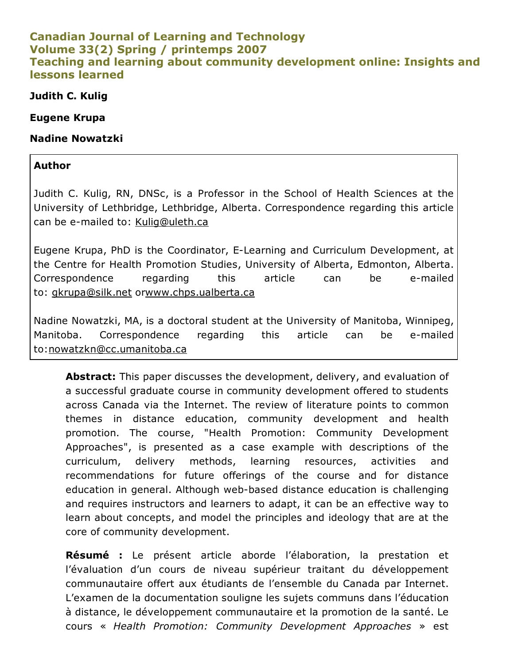#### Canadian Journal of Learning and Technology Volume 33(2) Spring / printemps 2007 Teaching and learning about community development online: Insights and lessons learned

#### Judith C. Kulig

#### Eugene Krupa

#### Nadine Nowatzki

#### Author

Judith C. Kulig, RN, DNSc, is a Professor in the School of Health Sciences at the University of Lethbridge, Lethbridge, Alberta. Correspondence regarding this article can be e-mailed to: [Kulig@uleth.ca](mailto:Kulig@uleth.ca)

Eugene Krupa, PhD is the Coordinator, ELearning and Curriculum Development, at the Centre for Health Promotion Studies, University of Alberta, Edmonton, Alberta. Correspondence regarding this article can be emailed to: [gkrupa@silk.net](mailto:gkrupa@silk.net) o[rwww.chps.ualberta.ca](http://www.chps.ualberta.ca/)

Nadine Nowatzki, MA, is a doctoral student at the University of Manitoba, Winnipeg, Manitoba. Correspondence regarding this article can be emailed to:[nowatzkn@cc.umanitoba.ca](mailto:nowatzkn@cc.umanitoba.ca)

Abstract: This paper discusses the development, delivery, and evaluation of a successful graduate course in community development offered to students across Canada via the Internet. The review of literature points to common themes in distance education, community development and health promotion. The course, "Health Promotion: Community Development Approaches", is presented as a case example with descriptions of the curriculum, delivery methods, learning resources, activities and recommendations for future offerings of the course and for distance education in general. Although web-based distance education is challenging and requires instructors and learners to adapt, it can be an effective way to learn about concepts, and model the principles and ideology that are at the core of community development.

Résumé : Le présent article aborde l'élaboration, la prestation et l'évaluation d'un cours de niveau supérieur traitant du développement communautaire offert aux étudiants de l'ensemble du Canada par Internet. L'examen de la documentation souligne les sujets communs dans l'éducation à distance, le développement communautaire et la promotion de la santé. Le cours « *Health Promotion: Community Development Approaches* » est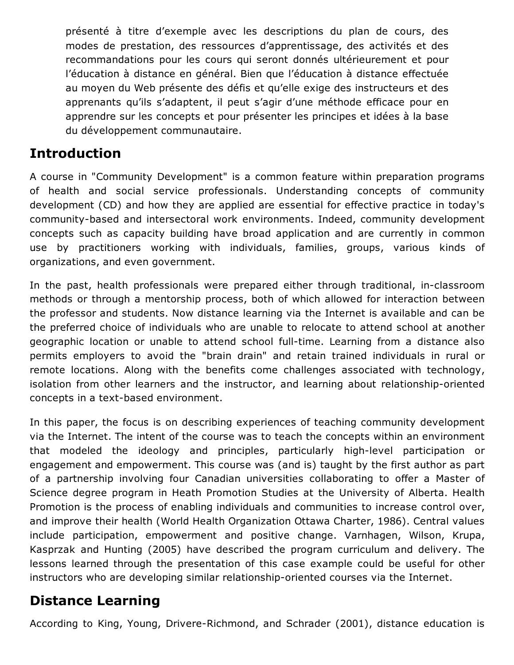présenté à titre d'exemple avec les descriptions du plan de cours, des modes de prestation, des ressources d'apprentissage, des activités et des recommandations pour les cours qui seront donnés ultérieurement et pour l'éducation à distance en général. Bien que l'éducation à distance effectuée au moyen du Web présente des défis et qu'elle exige des instructeurs et des apprenants qu'ils s'adaptent, il peut s'agir d'une méthode efficace pour en apprendre sur les concepts et pour présenter les principes et idées à la base du développement communautaire.

# Introduction

A course in "Community Development" is a common feature within preparation programs of health and social service professionals. Understanding concepts of community development (CD) and how they are applied are essential for effective practice in today's community-based and intersectoral work environments. Indeed, community development concepts such as capacity building have broad application and are currently in common use by practitioners working with individuals, families, groups, various kinds of organizations, and even government.

In the past, health professionals were prepared either through traditional, in-classroom methods or through a mentorship process, both of which allowed for interaction between the professor and students. Now distance learning via the Internet is available and can be the preferred choice of individuals who are unable to relocate to attend school at another geographic location or unable to attend school full-time. Learning from a distance also permits employers to avoid the "brain drain" and retain trained individuals in rural or remote locations. Along with the benefits come challenges associated with technology, isolation from other learners and the instructor, and learning about relationship-oriented concepts in a text-based environment.

In this paper, the focus is on describing experiences of teaching community development via the Internet. The intent of the course was to teach the concepts within an environment that modeled the ideology and principles, particularly high-level participation or engagement and empowerment. This course was (and is) taught by the first author as part of a partnership involving four Canadian universities collaborating to offer a Master of Science degree program in Heath Promotion Studies at the University of Alberta. Health Promotion is the process of enabling individuals and communities to increase control over, and improve their health (World Health Organization Ottawa Charter, 1986). Central values include participation, empowerment and positive change. Varnhagen, Wilson, Krupa, Kasprzak and Hunting (2005) have described the program curriculum and delivery. The lessons learned through the presentation of this case example could be useful for other instructors who are developing similar relationship-oriented courses via the Internet.

### Distance Learning

According to King, Young, Drivere-Richmond, and Schrader (2001), distance education is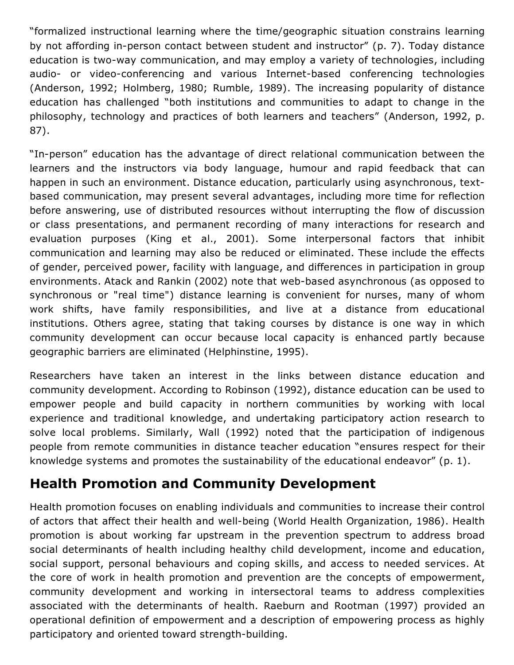"formalized instructional learning where the time/geographic situation constrains learning by not affording in-person contact between student and instructor" (p. 7). Today distance education is two-way communication, and may employ a variety of technologies, including audio- or video-conferencing and various Internet-based conferencing technologies (Anderson, 1992; Holmberg, 1980; Rumble, 1989). The increasing popularity of distance education has challenged "both institutions and communities to adapt to change in the philosophy, technology and practices of both learners and teachers" (Anderson, 1992, p. 87).

"In-person" education has the advantage of direct relational communication between the learners and the instructors via body language, humour and rapid feedback that can happen in such an environment. Distance education, particularly using asynchronous, textbased communication, may present several advantages, including more time for reflection before answering, use of distributed resources without interrupting the flow of discussion or class presentations, and permanent recording of many interactions for research and evaluation purposes (King et al., 2001). Some interpersonal factors that inhibit communication and learning may also be reduced or eliminated. These include the effects of gender, perceived power, facility with language, and differences in participation in group environments. Atack and Rankin (2002) note that web-based asynchronous (as opposed to synchronous or "real time") distance learning is convenient for nurses, many of whom work shifts, have family responsibilities, and live at a distance from educational institutions. Others agree, stating that taking courses by distance is one way in which community development can occur because local capacity is enhanced partly because geographic barriers are eliminated (Helphinstine, 1995).

Researchers have taken an interest in the links between distance education and community development. According to Robinson (1992), distance education can be used to empower people and build capacity in northern communities by working with local experience and traditional knowledge, and undertaking participatory action research to solve local problems. Similarly, Wall (1992) noted that the participation of indigenous people from remote communities in distance teacher education "ensures respect for their knowledge systems and promotes the sustainability of the educational endeavor" (p. 1).

# Health Promotion and Community Development

Health promotion focuses on enabling individuals and communities to increase their control of actors that affect their health and well-being (World Health Organization, 1986). Health promotion is about working far upstream in the prevention spectrum to address broad social determinants of health including healthy child development, income and education, social support, personal behaviours and coping skills, and access to needed services. At the core of work in health promotion and prevention are the concepts of empowerment, community development and working in intersectoral teams to address complexities associated with the determinants of health. Raeburn and Rootman (1997) provided an operational definition of empowerment and a description of empowering process as highly participatory and oriented toward strength-building.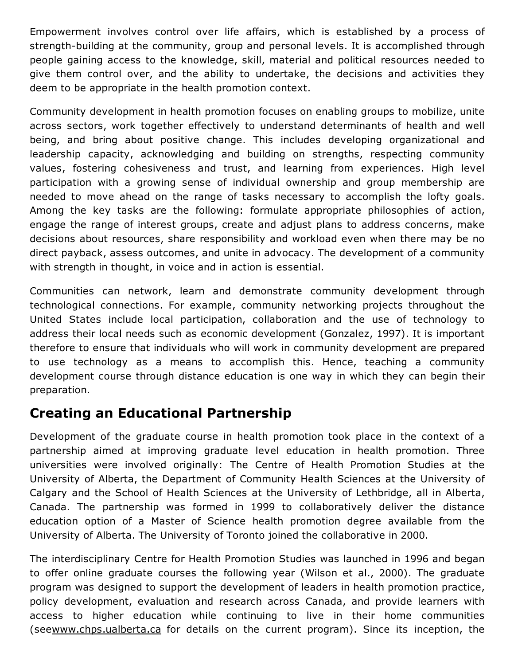Empowerment involves control over life affairs, which is established by a process of strength-building at the community, group and personal levels. It is accomplished through people gaining access to the knowledge, skill, material and political resources needed to give them control over, and the ability to undertake, the decisions and activities they deem to be appropriate in the health promotion context.

Community development in health promotion focuses on enabling groups to mobilize, unite across sectors, work together effectively to understand determinants of health and well being, and bring about positive change. This includes developing organizational and leadership capacity, acknowledging and building on strengths, respecting community values, fostering cohesiveness and trust, and learning from experiences. High level participation with a growing sense of individual ownership and group membership are needed to move ahead on the range of tasks necessary to accomplish the lofty goals. Among the key tasks are the following: formulate appropriate philosophies of action, engage the range of interest groups, create and adjust plans to address concerns, make decisions about resources, share responsibility and workload even when there may be no direct payback, assess outcomes, and unite in advocacy. The development of a community with strength in thought, in voice and in action is essential.

Communities can network, learn and demonstrate community development through technological connections. For example, community networking projects throughout the United States include local participation, collaboration and the use of technology to address their local needs such as economic development (Gonzalez, 1997). It is important therefore to ensure that individuals who will work in community development are prepared to use technology as a means to accomplish this. Hence, teaching a community development course through distance education is one way in which they can begin their preparation.

# Creating an Educational Partnership

Development of the graduate course in health promotion took place in the context of a partnership aimed at improving graduate level education in health promotion. Three universities were involved originally: The Centre of Health Promotion Studies at the University of Alberta, the Department of Community Health Sciences at the University of Calgary and the School of Health Sciences at the University of Lethbridge, all in Alberta, Canada. The partnership was formed in 1999 to collaboratively deliver the distance education option of a Master of Science health promotion degree available from the University of Alberta. The University of Toronto joined the collaborative in 2000.

The interdisciplinary Centre for Health Promotion Studies was launched in 1996 and began to offer online graduate courses the following year (Wilson et al., 2000). The graduate program was designed to support the development of leaders in health promotion practice, policy development, evaluation and research across Canada, and provide learners with access to higher education while continuing to live in their home communities (see[www.chps.ualberta.ca](http://www.chps.ualberta.ca/) for details on the current program). Since its inception, the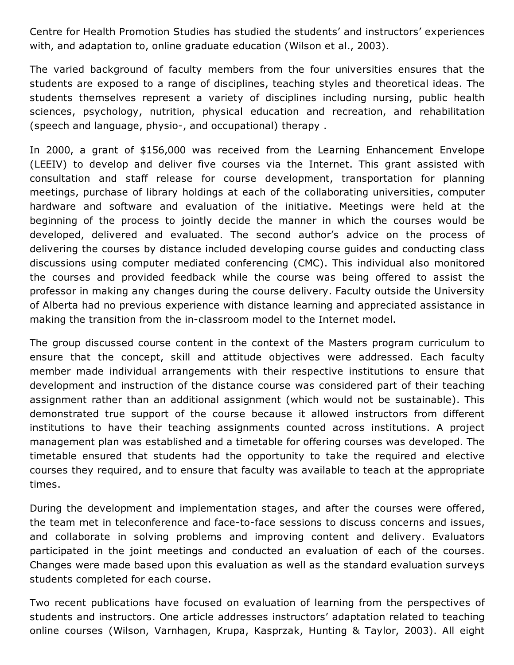Centre for Health Promotion Studies has studied the students' and instructors' experiences with, and adaptation to, online graduate education (Wilson et al., 2003).

The varied background of faculty members from the four universities ensures that the students are exposed to a range of disciplines, teaching styles and theoretical ideas. The students themselves represent a variety of disciplines including nursing, public health sciences, psychology, nutrition, physical education and recreation, and rehabilitation (speech and language, physio-, and occupational) therapy.

In 2000, a grant of \$156,000 was received from the Learning Enhancement Envelope (LEEIV) to develop and deliver five courses via the Internet. This grant assisted with consultation and staff release for course development, transportation for planning meetings, purchase of library holdings at each of the collaborating universities, computer hardware and software and evaluation of the initiative. Meetings were held at the beginning of the process to jointly decide the manner in which the courses would be developed, delivered and evaluated. The second author's advice on the process of delivering the courses by distance included developing course guides and conducting class discussions using computer mediated conferencing (CMC). This individual also monitored the courses and provided feedback while the course was being offered to assist the professor in making any changes during the course delivery. Faculty outside the University of Alberta had no previous experience with distance learning and appreciated assistance in making the transition from the in-classroom model to the Internet model.

The group discussed course content in the context of the Masters program curriculum to ensure that the concept, skill and attitude objectives were addressed. Each faculty member made individual arrangements with their respective institutions to ensure that development and instruction of the distance course was considered part of their teaching assignment rather than an additional assignment (which would not be sustainable). This demonstrated true support of the course because it allowed instructors from different institutions to have their teaching assignments counted across institutions. A project management plan was established and a timetable for offering courses was developed. The timetable ensured that students had the opportunity to take the required and elective courses they required, and to ensure that faculty was available to teach at the appropriate times.

During the development and implementation stages, and after the courses were offered, the team met in teleconference and face-to-face sessions to discuss concerns and issues, and collaborate in solving problems and improving content and delivery. Evaluators participated in the joint meetings and conducted an evaluation of each of the courses. Changes were made based upon this evaluation as well as the standard evaluation surveys students completed for each course.

Two recent publications have focused on evaluation of learning from the perspectives of students and instructors. One article addresses instructors' adaptation related to teaching online courses (Wilson, Varnhagen, Krupa, Kasprzak, Hunting & Taylor, 2003). All eight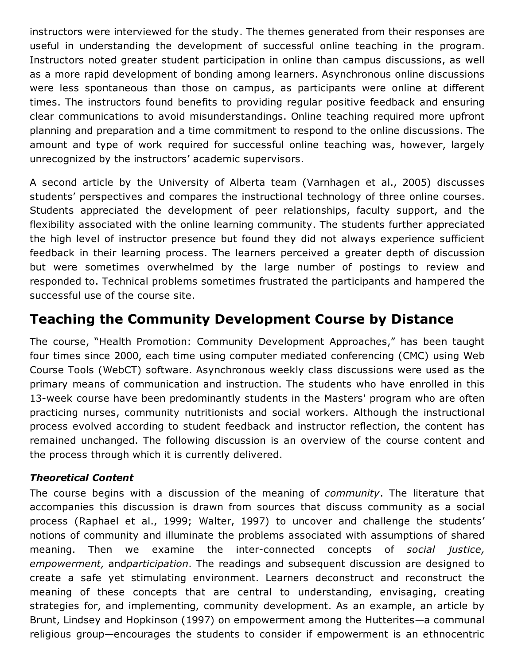instructors were interviewed for the study. The themes generated from their responses are useful in understanding the development of successful online teaching in the program. Instructors noted greater student participation in online than campus discussions, as well as a more rapid development of bonding among learners. Asynchronous online discussions were less spontaneous than those on campus, as participants were online at different times. The instructors found benefits to providing regular positive feedback and ensuring clear communications to avoid misunderstandings. Online teaching required more upfront planning and preparation and a time commitment to respond to the online discussions. The amount and type of work required for successful online teaching was, however, largely unrecognized by the instructors' academic supervisors.

A second article by the University of Alberta team (Varnhagen et al., 2005) discusses students' perspectives and compares the instructional technology of three online courses. Students appreciated the development of peer relationships, faculty support, and the flexibility associated with the online learning community. The students further appreciated the high level of instructor presence but found they did not always experience sufficient feedback in their learning process. The learners perceived a greater depth of discussion but were sometimes overwhelmed by the large number of postings to review and responded to. Technical problems sometimes frustrated the participants and hampered the successful use of the course site.

# Teaching the Community Development Course by Distance

The course, "Health Promotion: Community Development Approaches," has been taught four times since 2000, each time using computer mediated conferencing (CMC) using Web Course Tools (WebCT) software. Asynchronous weekly class discussions were used as the primary means of communication and instruction. The students who have enrolled in this 13-week course have been predominantly students in the Masters' program who are often practicing nurses, community nutritionists and social workers. Although the instructional process evolved according to student feedback and instructor reflection, the content has remained unchanged. The following discussion is an overview of the course content and the process through which it is currently delivered.

#### *Theoretical Content*

The course begins with a discussion of the meaning of *community*. The literature that accompanies this discussion is drawn from sources that discuss community as a social process (Raphael et al., 1999; Walter, 1997) to uncover and challenge the students' notions of community and illuminate the problems associated with assumptions of shared meaning. Then we examine the interconnected concepts of *social justice, empowerment,* and*participation*. The readings and subsequent discussion are designed to create a safe yet stimulating environment. Learners deconstruct and reconstruct the meaning of these concepts that are central to understanding, envisaging, creating strategies for, and implementing, community development. As an example, an article by Brunt, Lindsey and Hopkinson (1997) on empowerment among the Hutterites—a communal religious group—encourages the students to consider if empowerment is an ethnocentric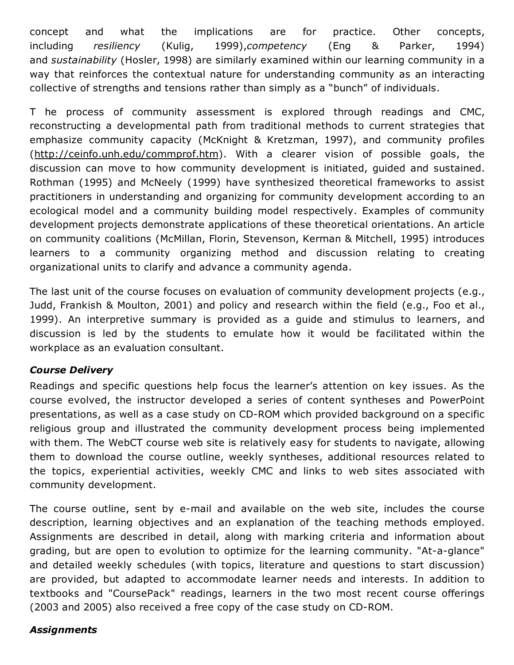concept and what the implications are for practice. Other concepts, including *resiliency* (Kulig, 1999),*competency* (Eng & Parker, 1994) and *sustainability* (Hosler, 1998) are similarly examined within our learning community in a way that reinforces the contextual nature for understanding community as an interacting collective of strengths and tensions rather than simply as a "bunch" of individuals.

T he process of community assessment is explored through readings and CMC, reconstructing a developmental path from traditional methods to current strategies that emphasize community capacity (McKnight & Kretzman, 1997), and community profiles (<http://ceinfo.unh.edu/commprof.htm>). With a clearer vision of possible goals, the discussion can move to how community development is initiated, guided and sustained. Rothman (1995) and McNeely (1999) have synthesized theoretical frameworks to assist practitioners in understanding and organizing for community development according to an ecological model and a community building model respectively. Examples of community development projects demonstrate applications of these theoretical orientations. An article on community coalitions (McMillan, Florin, Stevenson, Kerman & Mitchell, 1995) introduces learners to a community organizing method and discussion relating to creating organizational units to clarify and advance a community agenda.

The last unit of the course focuses on evaluation of community development projects (e.g., Judd, Frankish & Moulton, 2001) and policy and research within the field (e.g., Foo et al., 1999). An interpretive summary is provided as a guide and stimulus to learners, and discussion is led by the students to emulate how it would be facilitated within the workplace as an evaluation consultant.

#### *Course Delivery*

Readings and specific questions help focus the learner's attention on key issues. As the course evolved, the instructor developed a series of content syntheses and PowerPoint presentations, as well as a case study on CD-ROM which provided background on a specific religious group and illustrated the community development process being implemented with them. The WebCT course web site is relatively easy for students to navigate, allowing them to download the course outline, weekly syntheses, additional resources related to the topics, experiential activities, weekly CMC and links to web sites associated with community development.

The course outline, sent by e-mail and available on the web site, includes the course description, learning objectives and an explanation of the teaching methods employed. Assignments are described in detail, along with marking criteria and information about grading, but are open to evolution to optimize for the learning community. "At-a-glance" and detailed weekly schedules (with topics, literature and questions to start discussion) are provided, but adapted to accommodate learner needs and interests. In addition to textbooks and "CoursePack" readings, learners in the two most recent course offerings (2003 and 2005) also received a free copy of the case study on CD-ROM.

#### *Assignments*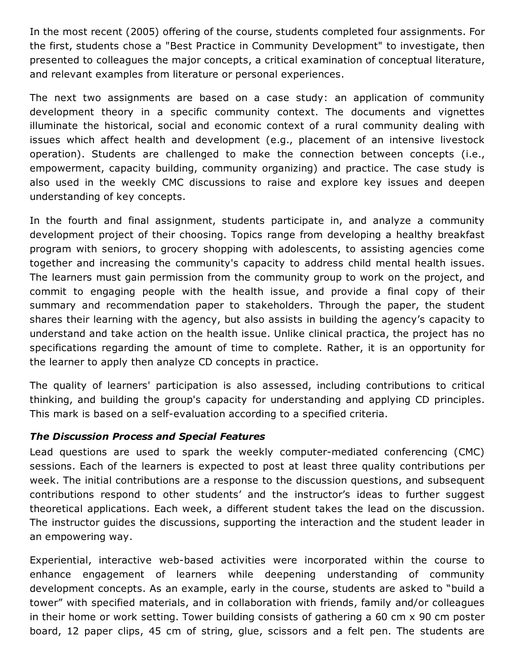In the most recent (2005) offering of the course, students completed four assignments. For the first, students chose a "Best Practice in Community Development" to investigate, then presented to colleagues the major concepts, a critical examination of conceptual literature, and relevant examples from literature or personal experiences.

The next two assignments are based on a case study: an application of community development theory in a specific community context. The documents and vignettes illuminate the historical, social and economic context of a rural community dealing with issues which affect health and development (e.g., placement of an intensive livestock operation). Students are challenged to make the connection between concepts (i.e., empowerment, capacity building, community organizing) and practice. The case study is also used in the weekly CMC discussions to raise and explore key issues and deepen understanding of key concepts.

In the fourth and final assignment, students participate in, and analyze a community development project of their choosing. Topics range from developing a healthy breakfast program with seniors, to grocery shopping with adolescents, to assisting agencies come together and increasing the community's capacity to address child mental health issues. The learners must gain permission from the community group to work on the project, and commit to engaging people with the health issue, and provide a final copy of their summary and recommendation paper to stakeholders. Through the paper, the student shares their learning with the agency, but also assists in building the agency's capacity to understand and take action on the health issue. Unlike clinical practica, the project has no specifications regarding the amount of time to complete. Rather, it is an opportunity for the learner to apply then analyze CD concepts in practice.

The quality of learners' participation is also assessed, including contributions to critical thinking, and building the group's capacity for understanding and applying CD principles. This mark is based on a self-evaluation according to a specified criteria.

#### *The Discussion Process and Special Features*

Lead questions are used to spark the weekly computer-mediated conferencing (CMC) sessions. Each of the learners is expected to post at least three quality contributions per week. The initial contributions are a response to the discussion questions, and subsequent contributions respond to other students' and the instructor's ideas to further suggest theoretical applications. Each week, a different student takes the lead on the discussion. The instructor guides the discussions, supporting the interaction and the student leader in an empowering way.

Experiential, interactive web-based activities were incorporated within the course to enhance engagement of learners while deepening understanding of community development concepts. As an example, early in the course, students are asked to "build a tower" with specified materials, and in collaboration with friends, family and/or colleagues in their home or work setting. Tower building consists of gathering a 60 cm x 90 cm poster board, 12 paper clips, 45 cm of string, glue, scissors and a felt pen. The students are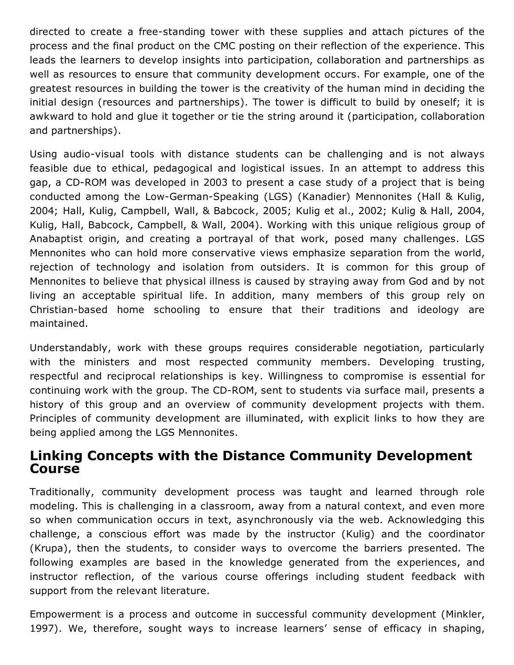directed to create a free-standing tower with these supplies and attach pictures of the process and the final product on the CMC posting on their reflection of the experience. This leads the learners to develop insights into participation, collaboration and partnerships as well as resources to ensure that community development occurs. For example, one of the greatest resources in building the tower is the creativity of the human mind in deciding the initial design (resources and partnerships). The tower is difficult to build by oneself; it is awkward to hold and glue it together or tie the string around it (participation, collaboration and partnerships).

Using audio-visual tools with distance students can be challenging and is not always feasible due to ethical, pedagogical and logistical issues. In an attempt to address this gap, a CD-ROM was developed in 2003 to present a case study of a project that is being conducted among the Low-German-Speaking (LGS) (Kanadier) Mennonites (Hall & Kulig, 2004; Hall, Kulig, Campbell, Wall, & Babcock, 2005; Kulig et al., 2002; Kulig & Hall, 2004, Kulig, Hall, Babcock, Campbell, & Wall, 2004). Working with this unique religious group of Anabaptist origin, and creating a portrayal of that work, posed many challenges. LGS Mennonites who can hold more conservative views emphasize separation from the world, rejection of technology and isolation from outsiders. It is common for this group of Mennonites to believe that physical illness is caused by straying away from God and by not living an acceptable spiritual life. In addition, many members of this group rely on Christian-based home schooling to ensure that their traditions and ideology are maintained.

Understandably, work with these groups requires considerable negotiation, particularly with the ministers and most respected community members. Developing trusting, respectful and reciprocal relationships is key. Willingness to compromise is essential for continuing work with the group. The CD-ROM, sent to students via surface mail, presents a history of this group and an overview of community development projects with them. Principles of community development are illuminated, with explicit links to how they are being applied among the LGS Mennonites.

### Linking Concepts with the Distance Community Development Course

Traditionally, community development process was taught and learned through role modeling. This is challenging in a classroom, away from a natural context, and even more so when communication occurs in text, asynchronously via the web. Acknowledging this challenge, a conscious effort was made by the instructor (Kulig) and the coordinator (Krupa), then the students, to consider ways to overcome the barriers presented. The following examples are based in the knowledge generated from the experiences, and instructor reflection, of the various course offerings including student feedback with support from the relevant literature.

Empowerment is a process and outcome in successful community development (Minkler, 1997). We, therefore, sought ways to increase learners' sense of efficacy in shaping,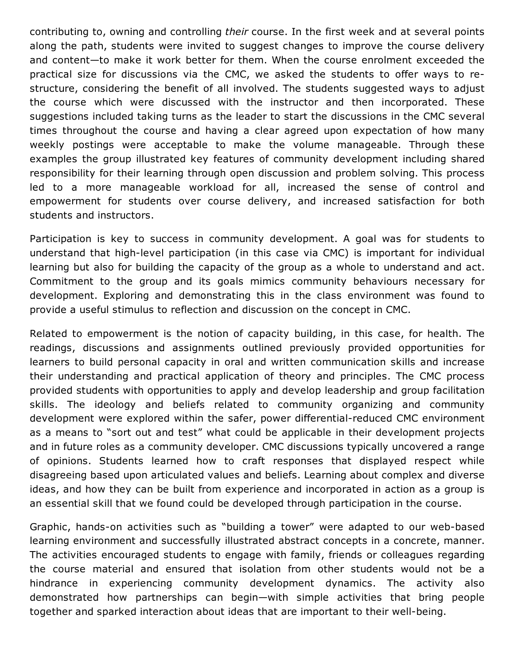contributing to, owning and controlling *their* course. In the first week and at several points along the path, students were invited to suggest changes to improve the course delivery and content—to make it work better for them. When the course enrolment exceeded the practical size for discussions via the CMC, we asked the students to offer ways to restructure, considering the benefit of all involved. The students suggested ways to adjust the course which were discussed with the instructor and then incorporated. These suggestions included taking turns as the leader to start the discussions in the CMC several times throughout the course and having a clear agreed upon expectation of how many weekly postings were acceptable to make the volume manageable. Through these examples the group illustrated key features of community development including shared responsibility for their learning through open discussion and problem solving. This process led to a more manageable workload for all, increased the sense of control and empowerment for students over course delivery, and increased satisfaction for both students and instructors.

Participation is key to success in community development. A goal was for students to understand that high-level participation (in this case via CMC) is important for individual learning but also for building the capacity of the group as a whole to understand and act. Commitment to the group and its goals mimics community behaviours necessary for development. Exploring and demonstrating this in the class environment was found to provide a useful stimulus to reflection and discussion on the concept in CMC.

Related to empowerment is the notion of capacity building, in this case, for health. The readings, discussions and assignments outlined previously provided opportunities for learners to build personal capacity in oral and written communication skills and increase their understanding and practical application of theory and principles. The CMC process provided students with opportunities to apply and develop leadership and group facilitation skills. The ideology and beliefs related to community organizing and community development were explored within the safer, power differential-reduced CMC environment as a means to "sort out and test" what could be applicable in their development projects and in future roles as a community developer. CMC discussions typically uncovered a range of opinions. Students learned how to craft responses that displayed respect while disagreeing based upon articulated values and beliefs. Learning about complex and diverse ideas, and how they can be built from experience and incorporated in action as a group is an essential skill that we found could be developed through participation in the course.

Graphic, hands-on activities such as "building a tower" were adapted to our web-based learning environment and successfully illustrated abstract concepts in a concrete, manner. The activities encouraged students to engage with family, friends or colleagues regarding the course material and ensured that isolation from other students would not be a hindrance in experiencing community development dynamics. The activity also demonstrated how partnerships can begin—with simple activities that bring people together and sparked interaction about ideas that are important to their well-being.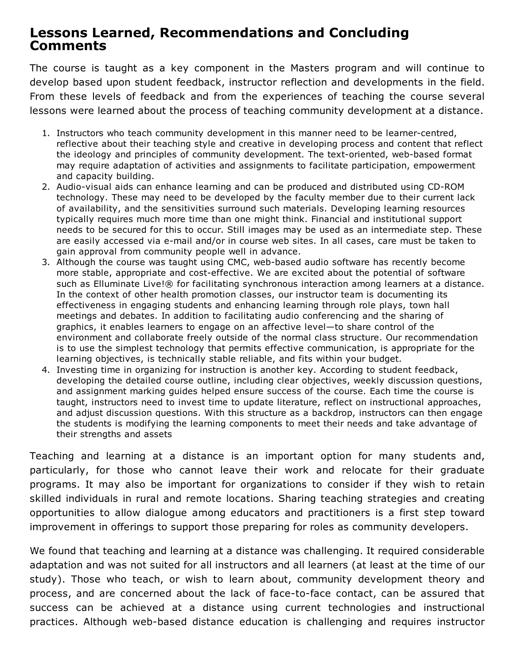### Lessons Learned, Recommendations and Concluding Comments

The course is taught as a key component in the Masters program and will continue to develop based upon student feedback, instructor reflection and developments in the field. From these levels of feedback and from the experiences of teaching the course several lessons were learned about the process of teaching community development at a distance.

- 1. Instructors who teach community development in this manner need to be learner-centred, reflective about their teaching style and creative in developing process and content that reflect the ideology and principles of community development. The text-oriented, web-based format may require adaptation of activities and assignments to facilitate participation, empowerment and capacity building.
- 2. Audio-visual aids can enhance learning and can be produced and distributed using CD-ROM technology. These may need to be developed by the faculty member due to their current lack of availability, and the sensitivities surround such materials. Developing learning resources typically requires much more time than one might think. Financial and institutional support needs to be secured for this to occur. Still images may be used as an intermediate step. These are easily accessed via e-mail and/or in course web sites. In all cases, care must be taken to gain approval from community people well in advance.
- 3. Although the course was taught using CMC, web-based audio software has recently become more stable, appropriate and cost-effective. We are excited about the potential of software such as Elluminate Live!® for facilitating synchronous interaction among learners at a distance. In the context of other health promotion classes, our instructor team is documenting its effectiveness in engaging students and enhancing learning through role plays, town hall meetings and debates. In addition to facilitating audio conferencing and the sharing of graphics, it enables learners to engage on an affective level—to share control of the environment and collaborate freely outside of the normal class structure. Our recommendation is to use the simplest technology that permits effective communication, is appropriate for the learning objectives, is technically stable reliable, and fits within your budget.
- 4. Investing time in organizing for instruction is another key. According to student feedback, developing the detailed course outline, including clear objectives, weekly discussion questions, and assignment marking guides helped ensure success of the course. Each time the course is taught, instructors need to invest time to update literature, reflect on instructional approaches, and adjust discussion questions. With this structure as a backdrop, instructors can then engage the students is modifying the learning components to meet their needs and take advantage of their strengths and assets

Teaching and learning at a distance is an important option for many students and, particularly, for those who cannot leave their work and relocate for their graduate programs. It may also be important for organizations to consider if they wish to retain skilled individuals in rural and remote locations. Sharing teaching strategies and creating opportunities to allow dialogue among educators and practitioners is a first step toward improvement in offerings to support those preparing for roles as community developers.

We found that teaching and learning at a distance was challenging. It required considerable adaptation and was not suited for all instructors and all learners (at least at the time of our study). Those who teach, or wish to learn about, community development theory and process, and are concerned about the lack of face-to-face contact, can be assured that success can be achieved at a distance using current technologies and instructional practices. Although web-based distance education is challenging and requires instructor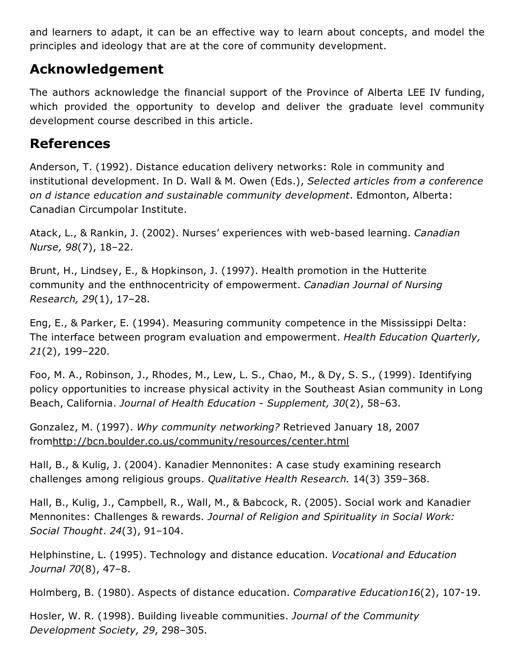and learners to adapt, it can be an effective way to learn about concepts, and model the principles and ideology that are at the core of community development.

# Acknowledgement

The authors acknowledge the financial support of the Province of Alberta LEE IV funding, which provided the opportunity to develop and deliver the graduate level community development course described in this article.

### References

Anderson, T. (1992). Distance education delivery networks: Role in community and institutional development. In D. Wall & M. Owen (Eds.), *Selected articles from a conference on d istance education and sustainable community development*. Edmonton, Alberta: Canadian Circumpolar Institute.

Atack, L., & Rankin, J. (2002). Nurses' experiences with web-based learning. *Canadian Nurse, 98*(7), 18–22.

Brunt, H., Lindsey, E., & Hopkinson, J. (1997). Health promotion in the Hutterite community and the enthnocentricity of empowerment. *Canadian Journal of Nursing Research, 29*(1), 17–28.

Eng, E., & Parker, E. (1994). Measuring community competence in the Mississippi Delta: The interface between program evaluation and empowerment. *Health Education Quarterly, 21*(2), 199–220.

Foo, M. A., Robinson, J., Rhodes, M., Lew, L. S., Chao, M., & Dy, S. S., (1999). Identifying policy opportunities to increase physical activity in the Southeast Asian community in Long Beach, California. *Journal of Health Education Supplement, 30*(2), 58–63.

Gonzalez, M. (1997). *Why community networking?* Retrieved January 18, 2007 from<http://bcn.boulder.co.us/community/resources/center.html>

Hall, B., & Kulig, J. (2004). Kanadier Mennonites: A case study examining research challenges among religious groups. *Qualitative Health Research.* 14(3) 359–368.

Hall, B., Kulig, J., Campbell, R., Wall, M., & Babcock, R. (2005). Social work and Kanadier Mennonites: Challenges & rewards*. Journal of Religion and Spirituality in Social Work: Social Thought*. *24*(3), 91–104.

Helphinstine, L. (1995). Technology and distance education. *Vocational and Education Journal 70*(8), 47–8.

Holmberg, B. (1980). Aspects of distance education. *Comparative Education16*(2), 107-19.

Hosler, W. R. (1998). Building liveable communities. *Journal of the Community Development Society, 29*, 298–305.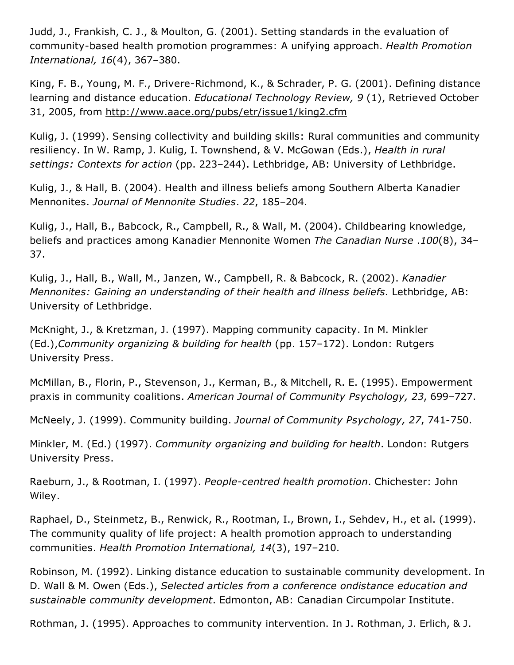Judd, J., Frankish, C. J., & Moulton, G. (2001). Setting standards in the evaluation of community-based health promotion programmes: A unifying approach. *Health Promotion International, 16*(4), 367–380.

King, F. B., Young, M. F., Drivere-Richmond, K., & Schrader, P. G. (2001). Defining distance learning and distance education. *Educational Technology Review, 9* (1), Retrieved October 31, 2005, from <http://www.aace.org/pubs/etr/issue1/king2.cfm>

Kulig, J. (1999). Sensing collectivity and building skills: Rural communities and community resiliency. In W. Ramp, J. Kulig, I. Townshend, & V. McGowan (Eds.), *Health in rural settings: Contexts for action* (pp. 223–244). Lethbridge, AB: University of Lethbridge.

Kulig, J., & Hall, B. (2004). Health and illness beliefs among Southern Alberta Kanadier Mennonites. *Journal of Mennonite Studies*. *22*, 185–204.

Kulig, J., Hall, B., Babcock, R., Campbell, R., & Wall, M. (2004). Childbearing knowledge, beliefs and practices among Kanadier Mennonite Women *The Canadian Nurse* .*100*(8), 34– 37.

Kulig, J., Hall, B., Wall, M., Janzen, W., Campbell, R. & Babcock, R. (2002). *Kanadier Mennonites: Gaining an understanding of their health and illness beliefs.* Lethbridge, AB: University of Lethbridge.

McKnight, J., & Kretzman, J. (1997). Mapping community capacity. In M. Minkler (Ed.),*Community organizing & building for health* (pp. 157–172). London: Rutgers University Press.

McMillan, B., Florin, P., Stevenson, J., Kerman, B., & Mitchell, R. E. (1995). Empowerment praxis in community coalitions. *American Journal of Community Psychology, 23*, 699–727.

McNeely, J. (1999). Community building. *Journal of Community Psychology, 27*, 741750.

Minkler, M. (Ed.) (1997). *Community organizing and building for health*. London: Rutgers University Press.

Raeburn, J., & Rootman, I. (1997). *Peoplecentred health promotion*. Chichester: John Wiley.

Raphael, D., Steinmetz, B., Renwick, R., Rootman, I., Brown, I., Sehdev, H., et al. (1999). The community quality of life project: A health promotion approach to understanding communities. *Health Promotion International, 14*(3), 197–210.

Robinson, M. (1992). Linking distance education to sustainable community development. In D. Wall & M. Owen (Eds.), *Selected articles from a conference ondistance education and sustainable community development*. Edmonton, AB: Canadian Circumpolar Institute.

Rothman, J. (1995). Approaches to community intervention. In J. Rothman, J. Erlich, & J.